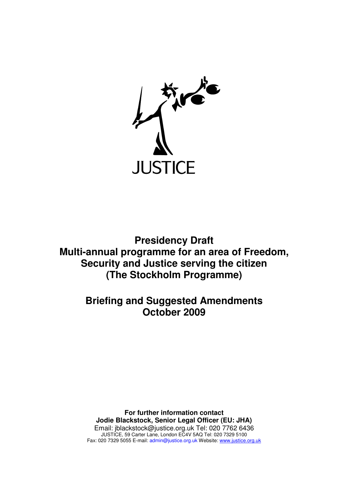

**Presidency Draft Multi-annual programme for an area of Freedom, Security and Justice serving the citizen (The Stockholm Programme)**

> **Briefing and Suggested Amendments October 2009**

**For further information contact Jodie Blackstock, Senior Legal Officer (EU: JHA)**  Email: jblackstock@justice.org.uk Tel: 020 7762 6436 JUSTICE, 59 Carter Lane, London EC4V 5AQ Tel: 020 7329 5100 Fax: 020 7329 5055 E-mail: admin@justice.org.uk Website: www.justice.org.uk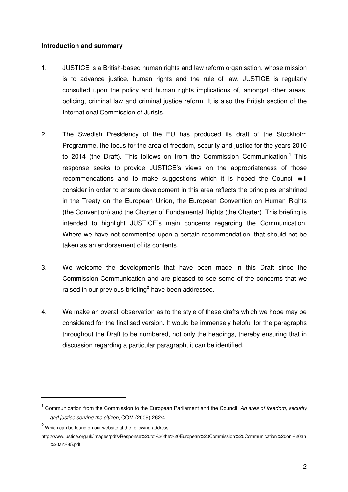#### **Introduction and summary**

- 1. JUSTICE is a British-based human rights and law reform organisation, whose mission is to advance justice, human rights and the rule of law. JUSTICE is regularly consulted upon the policy and human rights implications of, amongst other areas, policing, criminal law and criminal justice reform. It is also the British section of the International Commission of Jurists.
- 2. The Swedish Presidency of the EU has produced its draft of the Stockholm Programme, the focus for the area of freedom, security and justice for the years 2010 to 2014 (the Draft). This follows on from the Commission Communication.**<sup>1</sup>** This response seeks to provide JUSTICE's views on the appropriateness of those recommendations and to make suggestions which it is hoped the Council will consider in order to ensure development in this area reflects the principles enshrined in the Treaty on the European Union, the European Convention on Human Rights (the Convention) and the Charter of Fundamental Rights (the Charter). This briefing is intended to highlight JUSTICE's main concerns regarding the Communication. Where we have not commented upon a certain recommendation, that should not be taken as an endorsement of its contents.
- 3. We welcome the developments that have been made in this Draft since the Commission Communication and are pleased to see some of the concerns that we raised in our previous briefing**<sup>2</sup>** have been addressed.
- 4. We make an overall observation as to the style of these drafts which we hope may be considered for the finalised version. It would be immensely helpful for the paragraphs throughout the Draft to be numbered, not only the headings, thereby ensuring that in discussion regarding a particular paragraph, it can be identified.

 $\overline{a}$ 

<sup>&</sup>lt;sup>1</sup> Communication from the Commission to the European Parliament and the Council, An area of freedom, security and justice serving the citizen, COM (2009) 262/4

**<sup>2</sup>** Which can be found on our website at the following address:

http://www.justice.org.uk/images/pdfs/Response%20to%20the%20European%20Commission%20Communication%20on%20an %20ar%85.pdf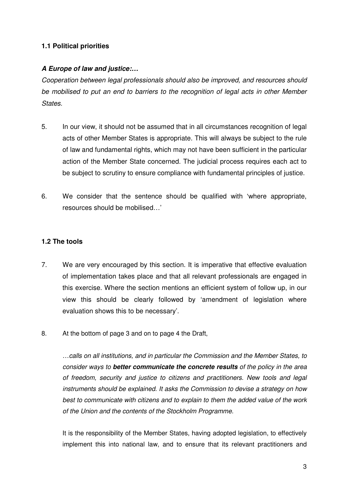# **1.1 Political priorities**

# **A Europe of law and justice:…**

Cooperation between legal professionals should also be improved, and resources should be mobilised to put an end to barriers to the recognition of legal acts in other Member States.

- 5. In our view, it should not be assumed that in all circumstances recognition of legal acts of other Member States is appropriate. This will always be subject to the rule of law and fundamental rights, which may not have been sufficient in the particular action of the Member State concerned. The judicial process requires each act to be subject to scrutiny to ensure compliance with fundamental principles of justice.
- 6. We consider that the sentence should be qualified with 'where appropriate, resources should be mobilised…'

# **1.2 The tools**

- 7. We are very encouraged by this section. It is imperative that effective evaluation of implementation takes place and that all relevant professionals are engaged in this exercise. Where the section mentions an efficient system of follow up, in our view this should be clearly followed by 'amendment of legislation where evaluation shows this to be necessary'.
- 8. At the bottom of page 3 and on to page 4 the Draft,

…calls on all institutions, and in particular the Commission and the Member States, to consider ways to **better communicate the concrete results** of the policy in the area of freedom, security and justice to citizens and practitioners. New tools and legal instruments should be explained. It asks the Commission to devise a strategy on how best to communicate with citizens and to explain to them the added value of the work of the Union and the contents of the Stockholm Programme.

It is the responsibility of the Member States, having adopted legislation, to effectively implement this into national law, and to ensure that its relevant practitioners and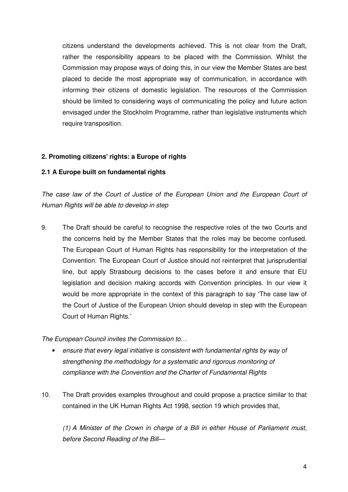citizens understand the developments achieved. This is not clear from the Draft, rather the responsibility appears to be placed with the Commission. Whilst the Commission may propose ways of doing this, in our view the Member States are best placed to decide the most appropriate way of communication, in accordance with informing their citizens of domestic legislation. The resources of the Commission should be limited to considering ways of communicating the policy and future action envisaged under the Stockholm Programme, rather than legislative instruments which require transposition.

# **2. Promoting citizens' rights: a Europe of rights**

# **2.1 A Europe built on fundamental rights**

The case law of the Court of Justice of the European Union and the European Court of Human Rights will be able to develop in step

9. The Draft should be careful to recognise the respective roles of the two Courts and the concerns held by the Member States that the roles may be become confused. The European Court of Human Rights has responsibility for the interpretation of the Convention. The European Court of Justice should not reinterpret that jurisprudential line, but apply Strasbourg decisions to the cases before it and ensure that EU legislation and decision making accords with Convention principles. In our view it would be more appropriate in the context of this paragraph to say 'The case law of the Court of Justice of the European Union should develop in step with the European Court of Human Rights.'

The European Council invites the Commission to…

- ensure that every legal initiative is consistent with fundamental rights by way of strengthening the methodology for a systematic and rigorous monitoring of compliance with the Convention and the Charter of Fundamental Rights
- 10. The Draft provides examples throughout and could propose a practice similar to that contained in the UK Human Rights Act 1998, section 19 which provides that,

(1) A Minister of the Crown in charge of a Bill in either House of Parliament must, before Second Reading of the Bill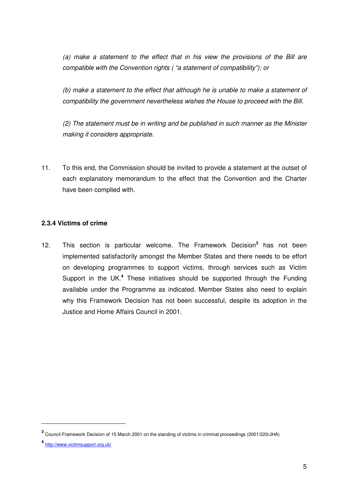(a) make a statement to the effect that in his view the provisions of the Bill are compatible with the Convention rights ( "a statement of compatibility"); or

(b) make a statement to the effect that although he is unable to make a statement of compatibility the government nevertheless wishes the House to proceed with the Bill.

(2) The statement must be in writing and be published in such manner as the Minister making it considers appropriate.

11. To this end, the Commission should be invited to provide a statement at the outset of each explanatory memorandum to the effect that the Convention and the Charter have been complied with.

# **2.3.4 Victims of crime**

12. This section is particular welcome. The Framework Decision**<sup>3</sup>** has not been implemented satisfactorily amongst the Member States and there needs to be effort on developing programmes to support victims, through services such as Victim Support in the UK.<sup>4</sup> These initiatives should be supported through the Funding available under the Programme as indicated. Member States also need to explain why this Framework Decision has not been successful, despite its adoption in the Justice and Home Affairs Council in 2001.

 $\overline{a}$ 

**<sup>3</sup>** Council Framework Decision of 15 March 2001 on the standing of victims in criminal proceedings (2001/220/JHA)

**<sup>4</sup>** http://www.victimsupport.org.uk/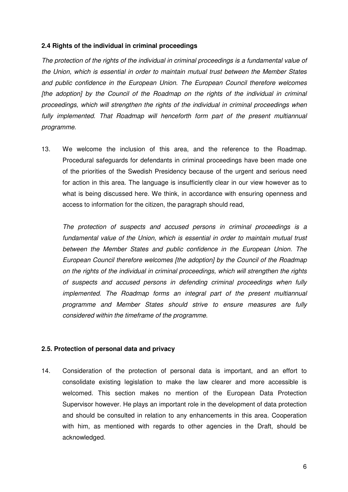#### **2.4 Rights of the individual in criminal proceedings**

The protection of the rights of the individual in criminal proceedings is a fundamental value of the Union, which is essential in order to maintain mutual trust between the Member States and public confidence in the European Union. The European Council therefore welcomes [the adoption] by the Council of the Roadmap on the rights of the individual in criminal proceedings, which will strengthen the rights of the individual in criminal proceedings when fully implemented. That Roadmap will henceforth form part of the present multiannual programme.

13. We welcome the inclusion of this area, and the reference to the Roadmap. Procedural safeguards for defendants in criminal proceedings have been made one of the priorities of the Swedish Presidency because of the urgent and serious need for action in this area. The language is insufficiently clear in our view however as to what is being discussed here. We think, in accordance with ensuring openness and access to information for the citizen, the paragraph should read,

The protection of suspects and accused persons in criminal proceedings is a fundamental value of the Union, which is essential in order to maintain mutual trust between the Member States and public confidence in the European Union. The European Council therefore welcomes [the adoption] by the Council of the Roadmap on the rights of the individual in criminal proceedings, which will strengthen the rights of suspects and accused persons in defending criminal proceedings when fully implemented. The Roadmap forms an integral part of the present multiannual programme and Member States should strive to ensure measures are fully considered within the timeframe of the programme.

# **2.5. Protection of personal data and privacy**

14. Consideration of the protection of personal data is important, and an effort to consolidate existing legislation to make the law clearer and more accessible is welcomed. This section makes no mention of the European Data Protection Supervisor however. He plays an important role in the development of data protection and should be consulted in relation to any enhancements in this area. Cooperation with him, as mentioned with regards to other agencies in the Draft, should be acknowledged.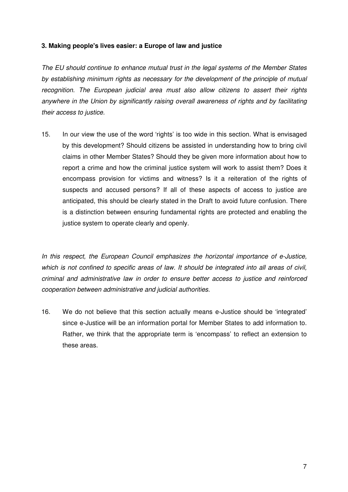# **3. Making people's lives easier: a Europe of law and justice**

The EU should continue to enhance mutual trust in the legal systems of the Member States by establishing minimum rights as necessary for the development of the principle of mutual recognition. The European judicial area must also allow citizens to assert their rights anywhere in the Union by significantly raising overall awareness of rights and by facilitating their access to justice.

15. In our view the use of the word 'rights' is too wide in this section. What is envisaged by this development? Should citizens be assisted in understanding how to bring civil claims in other Member States? Should they be given more information about how to report a crime and how the criminal justice system will work to assist them? Does it encompass provision for victims and witness? Is it a reiteration of the rights of suspects and accused persons? If all of these aspects of access to justice are anticipated, this should be clearly stated in the Draft to avoid future confusion. There is a distinction between ensuring fundamental rights are protected and enabling the justice system to operate clearly and openly.

In this respect, the European Council emphasizes the horizontal importance of e-Justice, which is not confined to specific areas of law. It should be integrated into all areas of civil, criminal and administrative law in order to ensure better access to justice and reinforced cooperation between administrative and judicial authorities.

16. We do not believe that this section actually means e-Justice should be 'integrated' since e-Justice will be an information portal for Member States to add information to. Rather, we think that the appropriate term is 'encompass' to reflect an extension to these areas.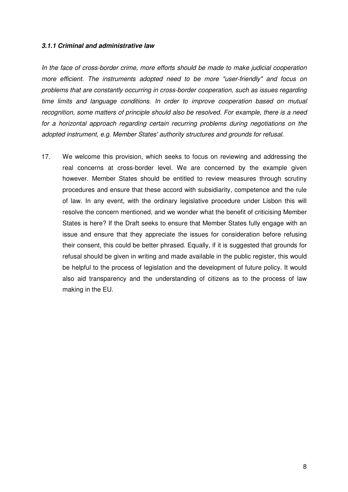#### **3.1.1 Criminal and administrative law**

In the face of cross-border crime, more efforts should be made to make judicial cooperation more efficient. The instruments adopted need to be more "user-friendly" and focus on problems that are constantly occurring in cross-border cooperation, such as issues regarding time limits and language conditions. In order to improve cooperation based on mutual recognition, some matters of principle should also be resolved. For example, there is a need for a horizontal approach regarding certain recurring problems during negotiations on the adopted instrument, e.g. Member States' authority structures and grounds for refusal.

17. We welcome this provision, which seeks to focus on reviewing and addressing the real concerns at cross-border level. We are concerned by the example given however. Member States should be entitled to review measures through scrutiny procedures and ensure that these accord with subsidiarity, competence and the rule of law. In any event, with the ordinary legislative procedure under Lisbon this will resolve the concern mentioned, and we wonder what the benefit of criticising Member States is here? If the Draft seeks to ensure that Member States fully engage with an issue and ensure that they appreciate the issues for consideration before refusing their consent, this could be better phrased. Equally, if it is suggested that grounds for refusal should be given in writing and made available in the public register, this would be helpful to the process of legislation and the development of future policy. It would also aid transparency and the understanding of citizens as to the process of law making in the EU.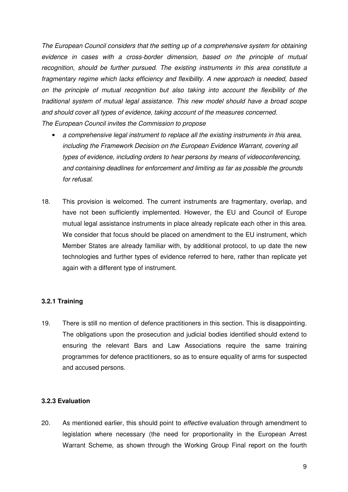The European Council considers that the setting up of a comprehensive system for obtaining evidence in cases with a cross-border dimension, based on the principle of mutual recognition, should be further pursued. The existing instruments in this area constitute a fragmentary regime which lacks efficiency and flexibility. A new approach is needed, based on the principle of mutual recognition but also taking into account the flexibility of the traditional system of mutual legal assistance. This new model should have a broad scope and should cover all types of evidence, taking account of the measures concerned. The European Council invites the Commission to propose

- a comprehensive legal instrument to replace all the existing instruments in this area, including the Framework Decision on the European Evidence Warrant, covering all types of evidence, including orders to hear persons by means of videoconferencing, and containing deadlines for enforcement and limiting as far as possible the grounds for refusal.
- 18. This provision is welcomed. The current instruments are fragmentary, overlap, and have not been sufficiently implemented. However, the EU and Council of Europe mutual legal assistance instruments in place already replicate each other in this area. We consider that focus should be placed on amendment to the EU instrument, which Member States are already familiar with, by additional protocol, to up date the new technologies and further types of evidence referred to here, rather than replicate yet again with a different type of instrument.

# **3.2.1 Training**

19. There is still no mention of defence practitioners in this section. This is disappointing. The obligations upon the prosecution and judicial bodies identified should extend to ensuring the relevant Bars and Law Associations require the same training programmes for defence practitioners, so as to ensure equality of arms for suspected and accused persons.

#### **3.2.3 Evaluation**

20. As mentioned earlier, this should point to effective evaluation through amendment to legislation where necessary (the need for proportionality in the European Arrest Warrant Scheme, as shown through the Working Group Final report on the fourth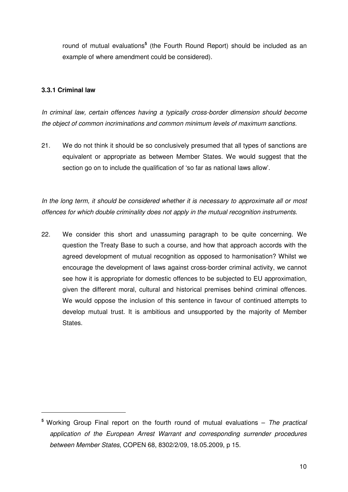round of mutual evaluations<sup>5</sup> (the Fourth Round Report) should be included as an example of where amendment could be considered).

#### **3.3.1 Criminal law**

 $\overline{a}$ 

In criminal law, certain offences having a typically cross-border dimension should become the object of common incriminations and common minimum levels of maximum sanctions.

21. We do not think it should be so conclusively presumed that all types of sanctions are equivalent or appropriate as between Member States. We would suggest that the section go on to include the qualification of 'so far as national laws allow'.

In the long term, it should be considered whether it is necessary to approximate all or most offences for which double criminality does not apply in the mutual recognition instruments.

22. We consider this short and unassuming paragraph to be quite concerning. We question the Treaty Base to such a course, and how that approach accords with the agreed development of mutual recognition as opposed to harmonisation? Whilst we encourage the development of laws against cross-border criminal activity, we cannot see how it is appropriate for domestic offences to be subjected to EU approximation, given the different moral, cultural and historical premises behind criminal offences. We would oppose the inclusion of this sentence in favour of continued attempts to develop mutual trust. It is ambitious and unsupported by the majority of Member States.

**<sup>5</sup>** Working Group Final report on the fourth round of mutual evaluations – The practical application of the European Arrest Warrant and corresponding surrender procedures between Member States, COPEN 68, 8302/2/09, 18.05.2009, p 15.